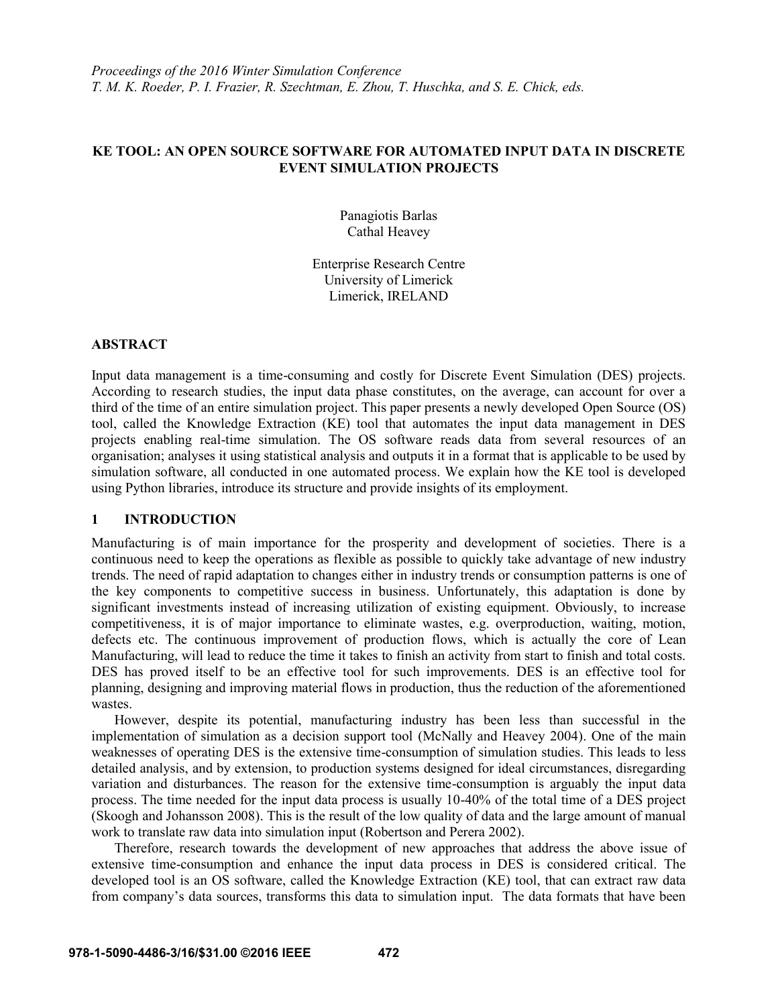# **KE TOOL: AN OPEN SOURCE SOFTWARE FOR AUTOMATED INPUT DATA IN DISCRETE EVENT SIMULATION PROJECTS**

Panagiotis Barlas Cathal Heavey

Enterprise Research Centre University of Limerick Limerick, IRELAND

#### **ABSTRACT**

Input data management is a time-consuming and costly for Discrete Event Simulation (DES) projects. According to research studies, the input data phase constitutes, on the average, can account for over a third of the time of an entire simulation project. This paper presents a newly developed Open Source (OS) tool, called the Knowledge Extraction (KE) tool that automates the input data management in DES projects enabling real-time simulation. The OS software reads data from several resources of an organisation; analyses it using statistical analysis and outputs it in a format that is applicable to be used by simulation software, all conducted in one automated process. We explain how the KE tool is developed using Python libraries, introduce its structure and provide insights of its employment.

#### **1 INTRODUCTION**

Manufacturing is of main importance for the prosperity and development of societies. There is a continuous need to keep the operations as flexible as possible to quickly take advantage of new industry trends. The need of rapid adaptation to changes either in industry trends or consumption patterns is one of the key components to competitive success in business. Unfortunately, this adaptation is done by significant investments instead of increasing utilization of existing equipment. Obviously, to increase competitiveness, it is of major importance to eliminate wastes, e.g. overproduction, waiting, motion, defects etc. The continuous improvement of production flows, which is actually the core of Lean Manufacturing, will lead to reduce the time it takes to finish an activity from start to finish and total costs. DES has proved itself to be an effective tool for such improvements. DES is an effective tool for planning, designing and improving material flows in production, thus the reduction of the aforementioned wastes.

However, despite its potential, manufacturing industry has been less than successful in the implementation of simulation as a decision support tool (McNally and Heavey 2004). One of the main weaknesses of operating DES is the extensive time-consumption of simulation studies. This leads to less detailed analysis, and by extension, to production systems designed for ideal circumstances, disregarding variation and disturbances. The reason for the extensive time-consumption is arguably the input data process. The time needed for the input data process is usually 10-40% of the total time of a DES project (Skoogh and Johansson 2008). This is the result of the low quality of data and the large amount of manual work to translate raw data into simulation input (Robertson and Perera 2002).

Therefore, research towards the development of new approaches that address the above issue of extensive time-consumption and enhance the input data process in DES is considered critical. The developed tool is an OS software, called the Knowledge Extraction (KE) tool, that can extract raw data from company's data sources, transforms this data to simulation input. The data formats that have been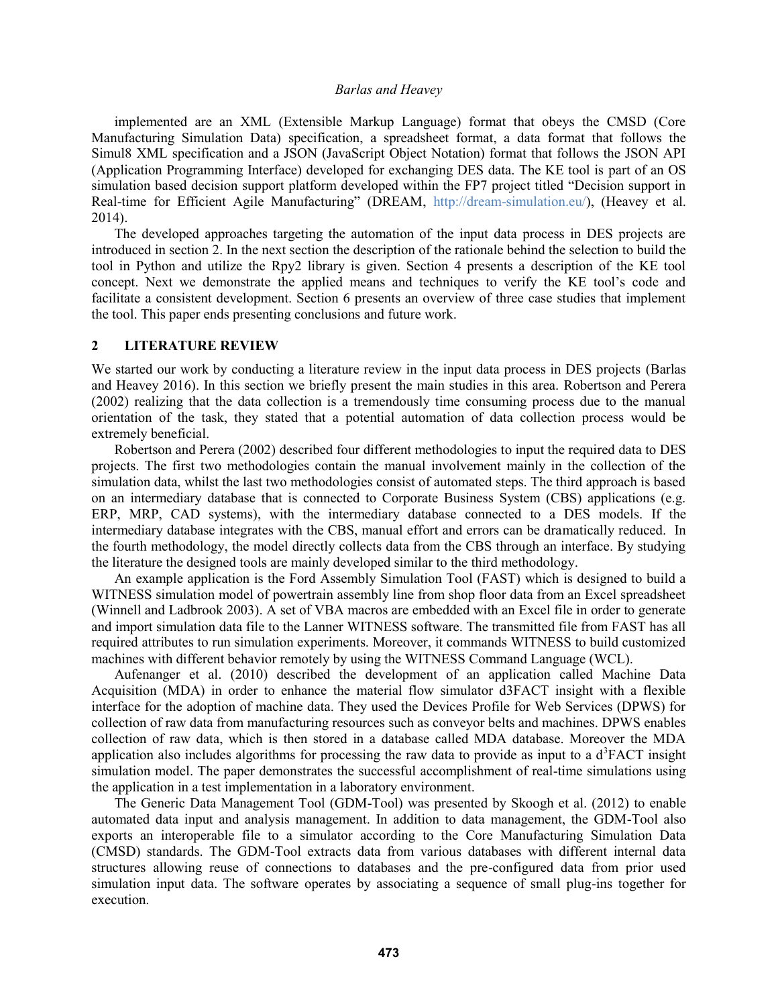implemented are an XML (Extensible Markup Language) format that obeys the CMSD (Core Manufacturing Simulation Data) specification, a spreadsheet format, a data format that follows the Simul8 XML specification and a JSON (JavaScript Object Notation) format that follows the JSON API (Application Programming Interface) developed for exchanging DES data. The KE tool is part of an OS simulation based decision support platform developed within the FP7 project titled "Decision support in Real-time for Efficient Agile Manufacturing" (DREAM, http://dream-simulation.eu/), (Heavey et al. 2014).

The developed approaches targeting the automation of the input data process in DES projects are introduced in section 2. In the next section the description of the rationale behind the selection to build the tool in Python and utilize the Rpy2 library is given. Section 4 presents a description of the KE tool concept. Next we demonstrate the applied means and techniques to verify the KE tool's code and facilitate a consistent development. Section 6 presents an overview of three case studies that implement the tool. This paper ends presenting conclusions and future work.

#### **2 LITERATURE REVIEW**

We started our work by conducting a literature review in the input data process in DES projects (Barlas and Heavey 2016). In this section we briefly present the main studies in this area. Robertson and Perera (2002) realizing that the data collection is a tremendously time consuming process due to the manual orientation of the task, they stated that a potential automation of data collection process would be extremely beneficial.

Robertson and Perera (2002) described four different methodologies to input the required data to DES projects. The first two methodologies contain the manual involvement mainly in the collection of the simulation data, whilst the last two methodologies consist of automated steps. The third approach is based on an intermediary database that is connected to Corporate Business System (CBS) applications (e.g. ERP, MRP, CAD systems), with the intermediary database connected to a DES models. If the intermediary database integrates with the CBS, manual effort and errors can be dramatically reduced. In the fourth methodology, the model directly collects data from the CBS through an interface. By studying the literature the designed tools are mainly developed similar to the third methodology.

An example application is the Ford Assembly Simulation Tool (FAST) which is designed to build a WITNESS simulation model of powertrain assembly line from shop floor data from an Excel spreadsheet (Winnell and Ladbrook 2003). A set of VBA macros are embedded with an Excel file in order to generate and import simulation data file to the Lanner WITNESS software. The transmitted file from FAST has all required attributes to run simulation experiments. Moreover, it commands WITNESS to build customized machines with different behavior remotely by using the WITNESS Command Language (WCL).

Aufenanger et al. (2010) described the development of an application called Machine Data Acquisition (MDA) in order to enhance the material flow simulator d3FACT insight with a flexible interface for the adoption of machine data. They used the Devices Profile for Web Services (DPWS) for collection of raw data from manufacturing resources such as conveyor belts and machines. DPWS enables collection of raw data, which is then stored in a database called MDA database. Moreover the MDA application also includes algorithms for processing the raw data to provide as input to a  $d<sup>3</sup>FACT$  insight simulation model. The paper demonstrates the successful accomplishment of real-time simulations using the application in a test implementation in a laboratory environment.

The Generic Data Management Tool (GDM-Tool) was presented by Skoogh et al. (2012) to enable automated data input and analysis management. In addition to data management, the GDM-Tool also exports an interoperable file to a simulator according to the Core Manufacturing Simulation Data (CMSD) standards. The GDM-Tool extracts data from various databases with different internal data structures allowing reuse of connections to databases and the pre-configured data from prior used simulation input data. The software operates by associating a sequence of small plug-ins together for execution.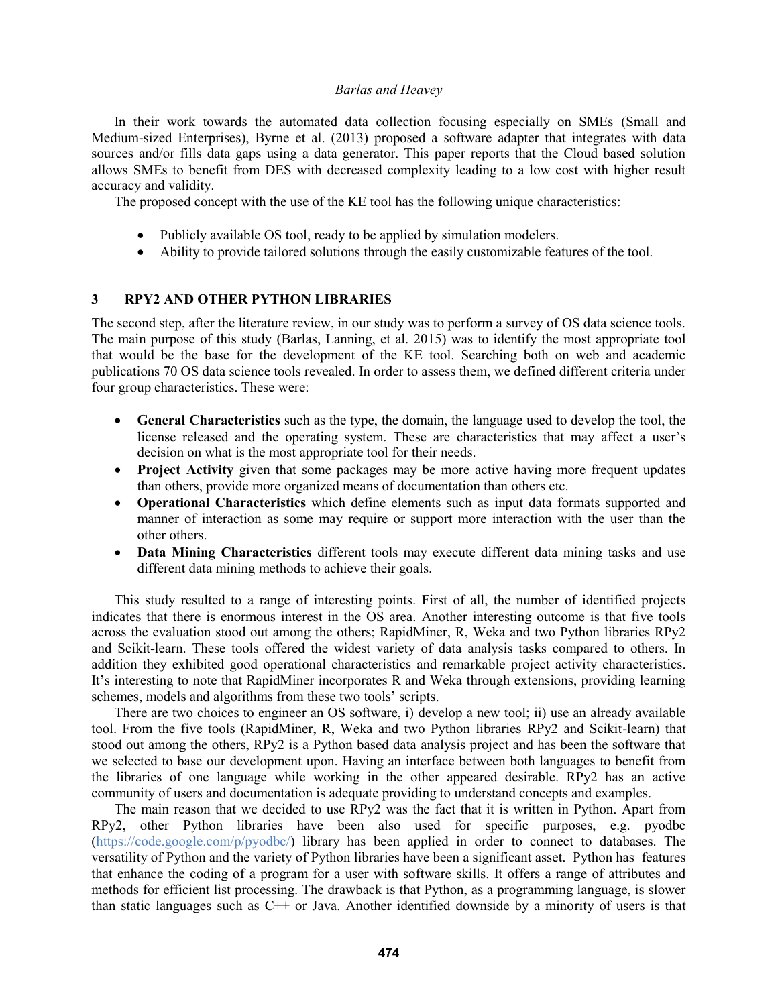In their work towards the automated data collection focusing especially on SMEs (Small and Medium-sized Enterprises), Byrne et al. (2013) proposed a software adapter that integrates with data sources and/or fills data gaps using a data generator. This paper reports that the Cloud based solution allows SMEs to benefit from DES with decreased complexity leading to a low cost with higher result accuracy and validity.

The proposed concept with the use of the KE tool has the following unique characteristics:

- Publicly available OS tool, ready to be applied by simulation modelers.
- Ability to provide tailored solutions through the easily customizable features of the tool.

## **3 RPY2 AND OTHER PYTHON LIBRARIES**

The second step, after the literature review, in our study was to perform a survey of OS data science tools. The main purpose of this study (Barlas, Lanning, et al. 2015) was to identify the most appropriate tool that would be the base for the development of the KE tool. Searching both on web and academic publications 70 OS data science tools revealed. In order to assess them, we defined different criteria under four group characteristics. These were:

- **General Characteristics** such as the type, the domain, the language used to develop the tool, the license released and the operating system. These are characteristics that may affect a user's decision on what is the most appropriate tool for their needs.
- **Project Activity** given that some packages may be more active having more frequent updates than others, provide more organized means of documentation than others etc.
- **Operational Characteristics** which define elements such as input data formats supported and manner of interaction as some may require or support more interaction with the user than the other others.
- **Data Mining Characteristics** different tools may execute different data mining tasks and use different data mining methods to achieve their goals.

This study resulted to a range of interesting points. First of all, the number of identified projects indicates that there is enormous interest in the OS area. Another interesting outcome is that five tools across the evaluation stood out among the others; RapidMiner, R, Weka and two Python libraries RPy2 and Scikit-learn. These tools offered the widest variety of data analysis tasks compared to others. In addition they exhibited good operational characteristics and remarkable project activity characteristics. It's interesting to note that RapidMiner incorporates R and Weka through extensions, providing learning schemes, models and algorithms from these two tools' scripts.

There are two choices to engineer an OS software, i) develop a new tool; ii) use an already available tool. From the five tools (RapidMiner, R, Weka and two Python libraries RPy2 and Scikit-learn) that stood out among the others, RPy2 is a Python based data analysis project and has been the software that we selected to base our development upon. Having an interface between both languages to benefit from the libraries of one language while working in the other appeared desirable. RPy2 has an active community of users and documentation is adequate providing to understand concepts and examples.

The main reason that we decided to use RPy2 was the fact that it is written in Python. Apart from RPy2, other Python libraries have been also used for specific purposes, e.g. pyodbc (https://code.google.com/p/pyodbc/) library has been applied in order to connect to databases. The versatility of Python and the variety of Python libraries have been a significant asset. Python has features that enhance the coding of a program for a user with software skills. It offers a range of attributes and methods for efficient list processing. The drawback is that Python, as a programming language, is slower than static languages such as C++ or Java. Another identified downside by a minority of users is that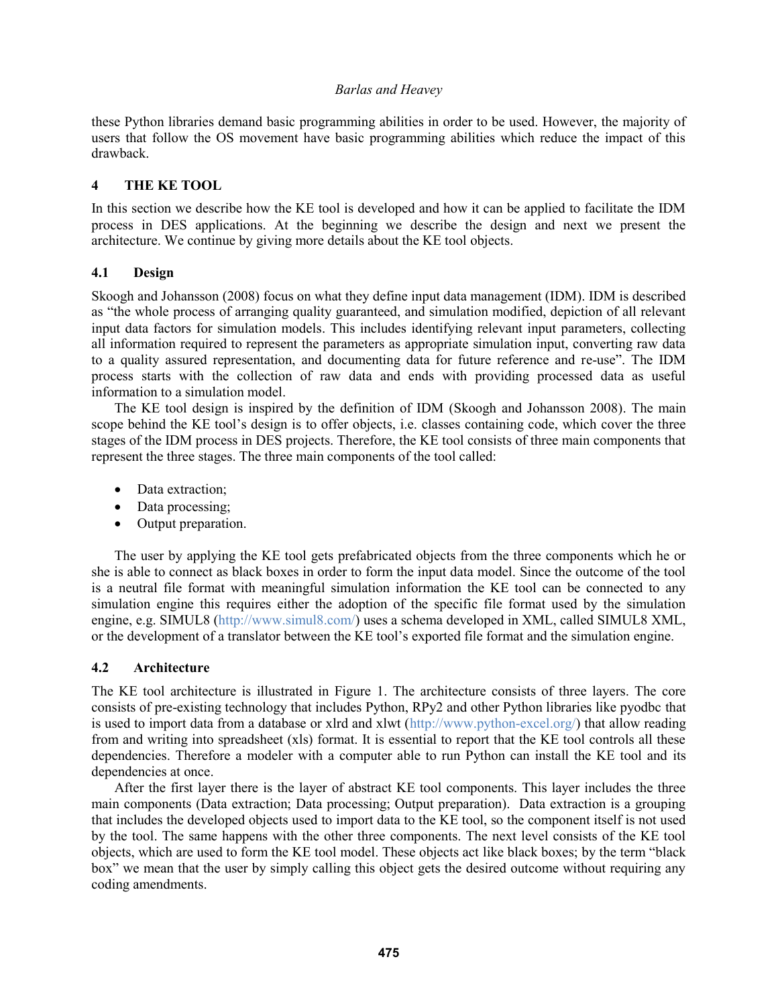these Python libraries demand basic programming abilities in order to be used. However, the majority of users that follow the OS movement have basic programming abilities which reduce the impact of this drawback.

## **4 THE KE TOOL**

In this section we describe how the KE tool is developed and how it can be applied to facilitate the IDM process in DES applications. At the beginning we describe the design and next we present the architecture. We continue by giving more details about the KE tool objects.

#### **4.1 Design**

Skoogh and Johansson (2008) focus on what they define input data management (IDM). IDM is described as "the whole process of arranging quality guaranteed, and simulation modified, depiction of all relevant input data factors for simulation models. This includes identifying relevant input parameters, collecting all information required to represent the parameters as appropriate simulation input, converting raw data to a quality assured representation, and documenting data for future reference and re-use". The IDM process starts with the collection of raw data and ends with providing processed data as useful information to a simulation model.

The KE tool design is inspired by the definition of IDM (Skoogh and Johansson 2008). The main scope behind the KE tool's design is to offer objects, i.e. classes containing code, which cover the three stages of the IDM process in DES projects. Therefore, the KE tool consists of three main components that represent the three stages. The three main components of the tool called:

- Data extraction;
- Data processing;
- Output preparation.

The user by applying the KE tool gets prefabricated objects from the three components which he or she is able to connect as black boxes in order to form the input data model. Since the outcome of the tool is a neutral file format with meaningful simulation information the KE tool can be connected to any simulation engine this requires either the adoption of the specific file format used by the simulation engine, e.g. SIMUL8 (http://www.simul8.com/) uses a schema developed in XML, called SIMUL8 XML, or the development of a translator between the KE tool's exported file format and the simulation engine.

## **4.2 Architecture**

The KE tool architecture is illustrated in Figure 1. The architecture consists of three layers. The core consists of pre-existing technology that includes Python, RPy2 and other Python libraries like pyodbc that is used to import data from a database or xlrd and xlwt (http://www.python-excel.org/) that allow reading from and writing into spreadsheet (xls) format. It is essential to report that the KE tool controls all these dependencies. Therefore a modeler with a computer able to run Python can install the KE tool and its dependencies at once.

After the first layer there is the layer of abstract KE tool components. This layer includes the three main components (Data extraction; Data processing; Output preparation). Data extraction is a grouping that includes the developed objects used to import data to the KE tool, so the component itself is not used by the tool. The same happens with the other three components. The next level consists of the KE tool objects, which are used to form the KE tool model. These objects act like black boxes; by the term "black box" we mean that the user by simply calling this object gets the desired outcome without requiring any coding amendments.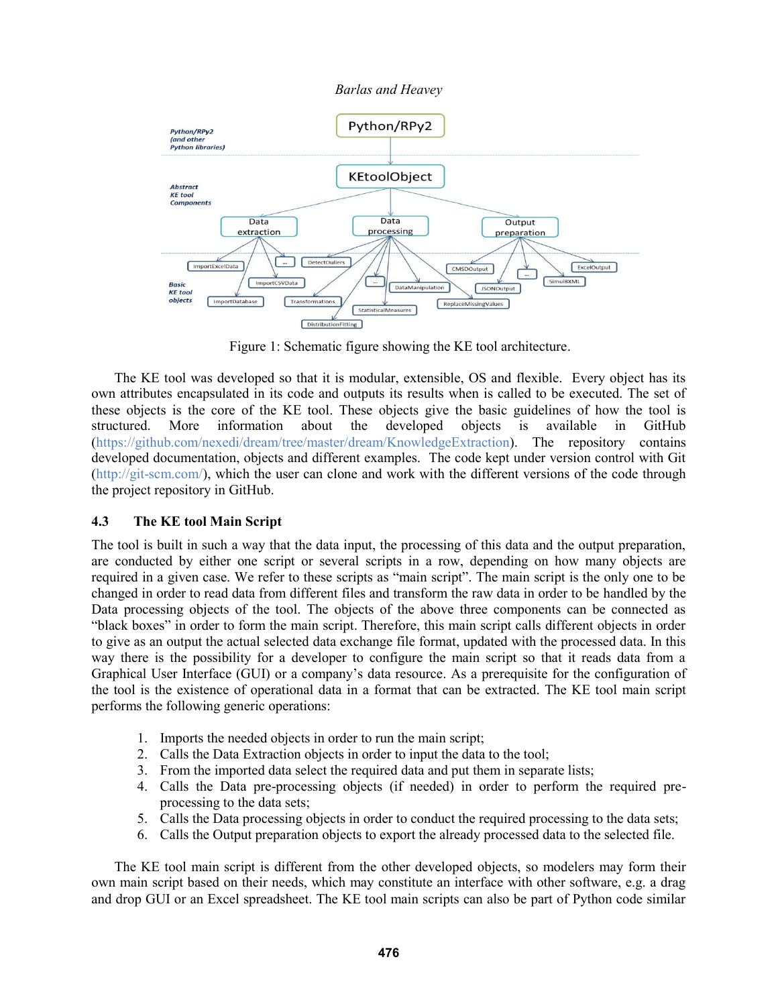



Figure 1: Schematic figure showing the KE tool architecture.

The KE tool was developed so that it is modular, extensible, OS and flexible. Every object has its own attributes encapsulated in its code and outputs its results when is called to be executed. The set of these objects is the core of the KE tool. These objects give the basic guidelines of how the tool is structured. More information about the developed objects is available in GitHub (https://github.com/nexedi/dream/tree/master/dream/KnowledgeExtraction). The repository contains developed documentation, objects and different examples. The code kept under version control with Git (http://git-scm.com/), which the user can clone and work with the different versions of the code through the project repository in GitHub.

## **4.3 The KE tool Main Script**

The tool is built in such a way that the data input, the processing of this data and the output preparation, are conducted by either one script or several scripts in a row, depending on how many objects are required in a given case. We refer to these scripts as "main script". The main script is the only one to be changed in order to read data from different files and transform the raw data in order to be handled by the Data processing objects of the tool. The objects of the above three components can be connected as "black boxes" in order to form the main script. Therefore, this main script calls different objects in order to give as an output the actual selected data exchange file format, updated with the processed data. In this way there is the possibility for a developer to configure the main script so that it reads data from a Graphical User Interface (GUI) or a company's data resource. As a prerequisite for the configuration of the tool is the existence of operational data in a format that can be extracted. The KE tool main script performs the following generic operations:

- 1. Imports the needed objects in order to run the main script;
- 2. Calls the Data Extraction objects in order to input the data to the tool;
- 3. From the imported data select the required data and put them in separate lists;
- 4. Calls the Data pre-processing objects (if needed) in order to perform the required preprocessing to the data sets;
- 5. Calls the Data processing objects in order to conduct the required processing to the data sets;
- 6. Calls the Output preparation objects to export the already processed data to the selected file.

The KE tool main script is different from the other developed objects, so modelers may form their own main script based on their needs, which may constitute an interface with other software, e.g. a drag and drop GUI or an Excel spreadsheet. The KE tool main scripts can also be part of Python code similar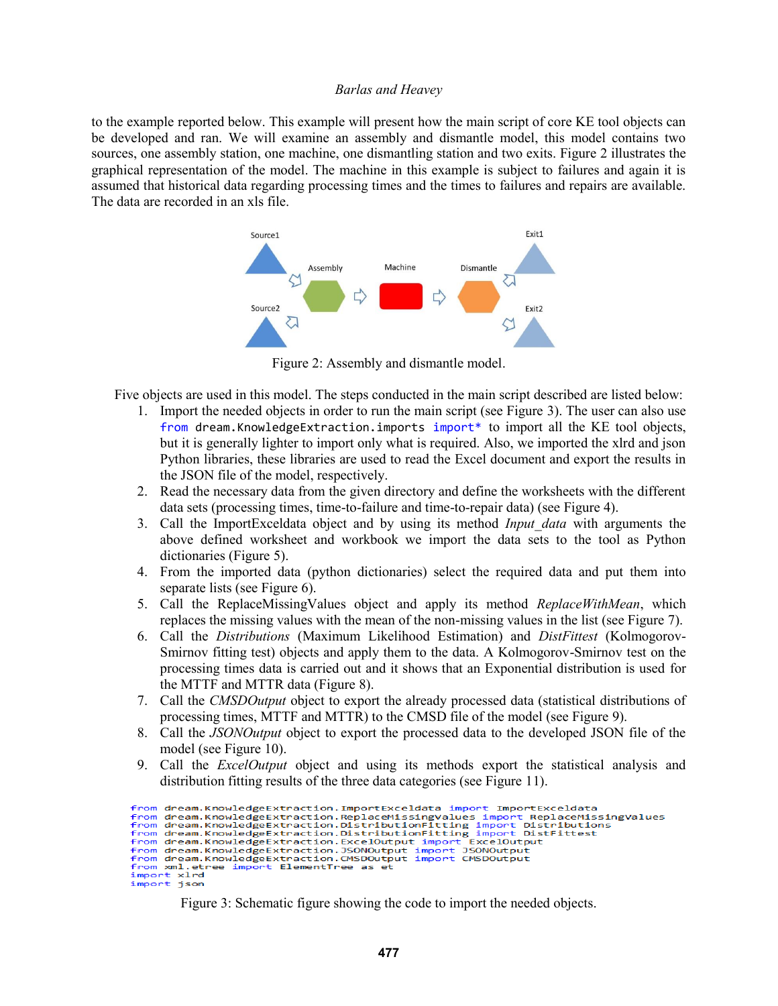to the example reported below. This example will present how the main script of core KE tool objects can be developed and ran. We will examine an assembly and dismantle model, this model contains two sources, one assembly station, one machine, one dismantling station and two exits. Figure 2 illustrates the graphical representation of the model. The machine in this example is subject to failures and again it is assumed that historical data regarding processing times and the times to failures and repairs are available. The data are recorded in an xls file.



Figure 2: Assembly and dismantle model.

Five objects are used in this model. The steps conducted in the main script described are listed below:

- 1. Import the needed objects in order to run the main script (see Figure 3). The user can also use from dream. KnowledgeExtraction. imports import\* to import all the KE tool objects, but it is generally lighter to import only what is required. Also, we imported the xlrd and json Python libraries, these libraries are used to read the Excel document and export the results in the JSON file of the model, respectively.
- 2. Read the necessary data from the given directory and define the worksheets with the different data sets (processing times, time-to-failure and time-to-repair data) (see Figure 4).
- 3. Call the ImportExceldata object and by using its method *Input\_data* with arguments the above defined worksheet and workbook we import the data sets to the tool as Python dictionaries (Figure 5).
- 4. From the imported data (python dictionaries) select the required data and put them into separate lists (see Figure 6).
- 5. Call the ReplaceMissingValues object and apply its method *ReplaceWithMean*, which replaces the missing values with the mean of the non-missing values in the list (see Figure 7).
- 6. Call the *Distributions* (Maximum Likelihood Estimation) and *DistFittest* (Kolmogorov-Smirnov fitting test) objects and apply them to the data. A Kolmogorov-Smirnov test on the processing times data is carried out and it shows that an Exponential distribution is used for the MTTF and MTTR data (Figure 8).
- 7. Call the *CMSDOutput* object to export the already processed data (statistical distributions of processing times, MTTF and MTTR) to the CMSD file of the model (see Figure 9).
- 8. Call the *JSONOutput* object to export the processed data to the developed JSON file of the model (see Figure 10).
- 9. Call the *ExcelOutput* object and using its methods export the statistical analysis and distribution fitting results of the three data categories (see Figure 11).

```
dream.KnowledgeExtraction.ImportExceldata import ImportExceldata
          dream.KnowledgeExtraction.ReplaceMissingValues import ReplaceMissingValues<br>dream.KnowledgeExtraction.DistributionFitting import Distributions
Fromfrom
rrom aream.knowledgeExtraction.DistributionFitting import Distribution<br>from dream.knowledgeExtraction.DistributionFitting import DistFittest<br>from dream.KnowledgeExtraction.ExcelOutput import ExcelOutput
From dream.KnowledgeExtraction.ExcelOutput import ExcelOutput<br>from dream.KnowledgeExtraction.ExcelOutput import ExcelOutput<br>from dream.KnowledgeExtraction.CMSDOutput import CMSDOutput<br>from dream.KnowledgeExtraction.CMSDOut
from xml.etree import ElementTree as et
import xlrd<br>import json
```
Figure 3: Schematic figure showing the code to import the needed objects.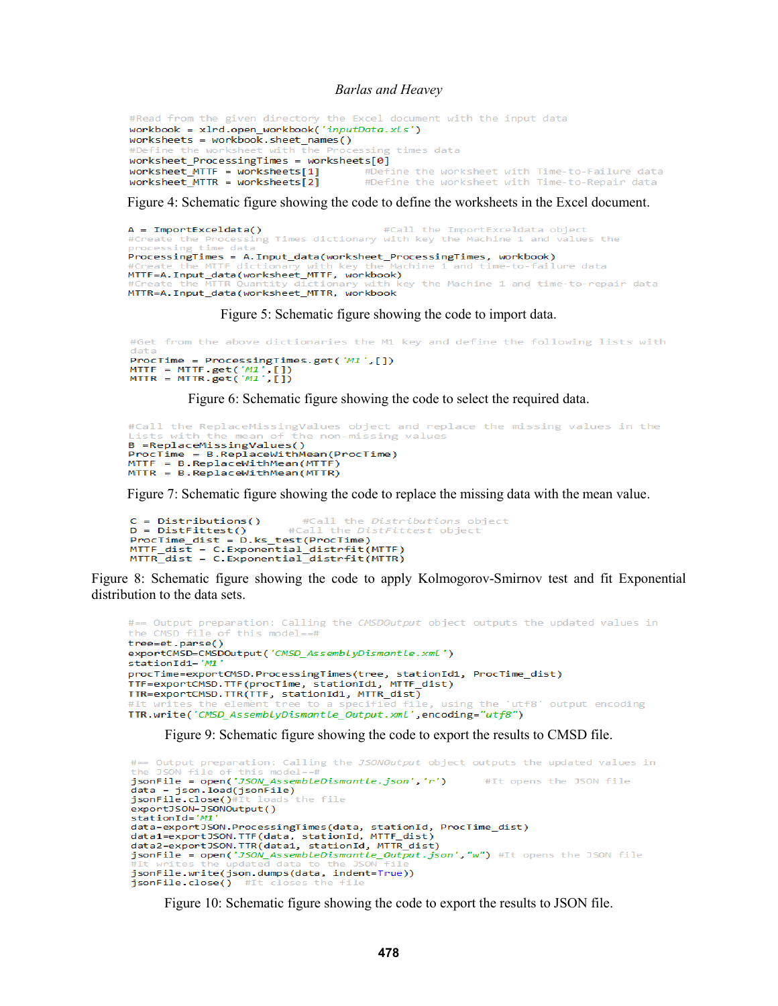```
#Read from the given directory the Excel document with the input data
workbook = xlrd.open workbook('inputData.xls')
worksheets = workbook.sheet_names()
#Define the worksheet with the Processing times data
worksheet_ProcessingTimes = worksheets[0]
worksheet_MTTF = worksheets[1] #Define the worksheet with Time-to-Failure data
worksheet_MTTR = worksheets[2]
                                    #Define the worksheet with Time-to-Repair data
```
Figure 4: Schematic figure showing the code to define the worksheets in the Excel document.

```
A = \text{ImportExceldata}()#Call the ImportExceldata object
                    ing Times dictionary with key the Machine 1 and values the
 Create the Process
 pococcing
           time data
ProcessingTimes = A.Input_data(worksheet_ProcessingTimes, workbook)
                                           Machine 1 and time-to-failure data
MTTF=A.Input_data(worksheet_MTTF, workbook)
                                            .<br>key the Machine 1 and time-to-repair data
                                  narv with
MTTR=A.Input data(worksheet MTTR, workbook
```
Figure 5: Schematic figure showing the code to import data.

```
#Get from the above dictionaries the M1 key and define the following lists with
dataProcTime = ProcessingTimes.get('M1', [])
Proclime = Processing<br>
MTTF = MTTF.get('M1',[])<br>
MTTR = MTTR.get('M1',[])
```
Figure 6: Schematic figure showing the code to select the required data.

```
#Call the ReplaceMissingValues object and replace the missing values in the
      with the mean of the non-missing values
B =ReplaceMissingValues()
ProcTime = B.ReplaceWithMean(ProcTime)
    = B. ReplaceWithMean(MTTF)
MTTF
MTTR = B \cdot ReplaceWithMean(MTTR)
```
Figure 7: Schematic figure showing the code to replace the missing data with the mean value.

```
#Call the Distributions object
C = Distributions()#Call the DistFittest object
D = DistFittest()ProcTime_dist = D.ks_test(ProcTime)
\begin{array}{lll} \texttt{MTTF\_dist} = \texttt{C}.\texttt{Exponential\_distrfit}(\texttt{MTTF})\\ \texttt{MTTR\_dist} = \texttt{C}.\texttt{Exponential\_distrfit}(\texttt{MTTR}) \end{array}
```
Figure 8: Schematic figure showing the code to apply Kolmogorov-Smirnov test and fit Exponential distribution to the data sets.

```
#== Output preparation: Calling the CMSDOutput object outputs the updated values in
the CMSD file of this model == #
tree=et.parse()
exportCMSD=CMSDOutput('CMSD AssemblyDismantle.xml')
stationId1 = 'MI'procTime=exportCMSD.ProcessingTimes(tree, stationId1, ProcTime_dist)
TTF=exportCMSD.TTF(procTime, stationId1, MTTF_dist)
TTR=exportCMSD.TTR(TTF, stationId1, MTTR_dist)
                       tree to a specified file, using the 'utf8' output encoding
           the element
TTR.write('CMSD_AssemblyDismantle_Output.xml',encoding="utf8")
```
Figure 9: Schematic figure showing the code to export the results to CMSD file.

```
#== Output preparation: Calling the JSONOutput object outputs the updated values in
the JSON file of this model==#<br>jsonFile = open('JSON_AssembleDismantle.json','r')
                                                                      #It opens the JSON file
data = json.load(jsonFile)
jsonFile.close()#It
                          loads the file
exportJSON=JSONOutput()
stationId = 'M1'stationia= mi<br>data=exportJSON.ProcessingTimes(data, stationId, ProcTime_dist)<br>data1=exportJSON.TTF(data, stationId, MTTF_dist)
data2=exportJSON.TIR(data1, stationId, MITR_dist)<br>jsonFile = open('JSON_AssembleDismantle_Output.json',"w") #It opens the JSON file
                              data
                       dated
                                        the
jsonFile.write(json.dumps(data, indent=True))
jsonFile.close()
                       #It closes the file
```
Figure 10: Schematic figure showing the code to export the results to JSON file.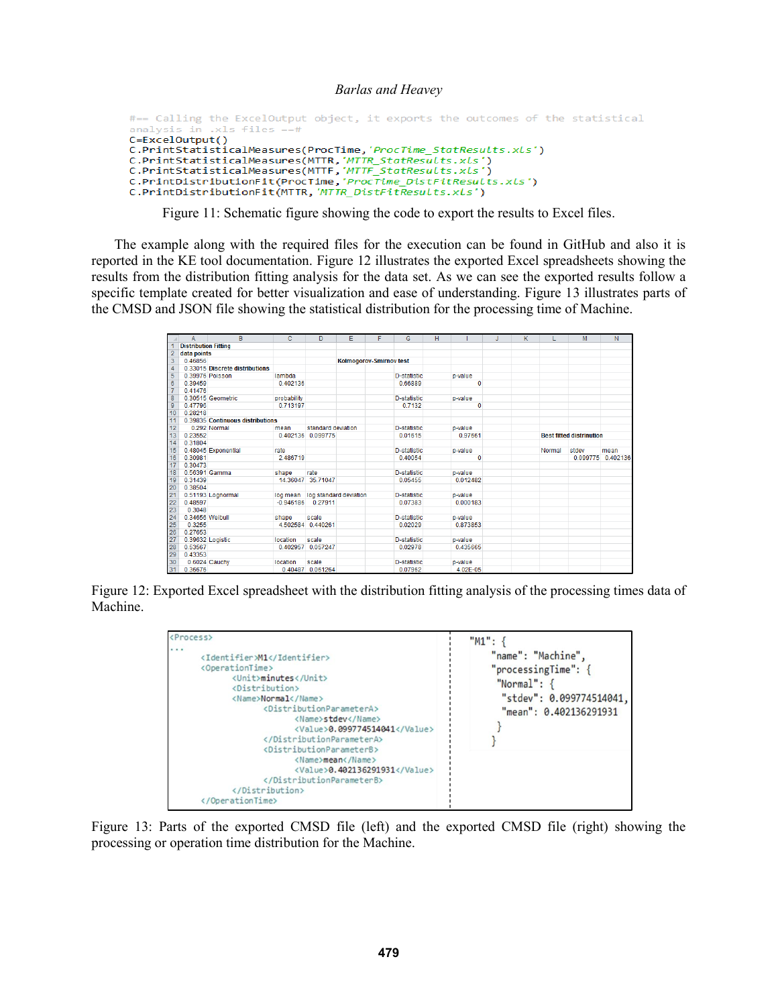```
#== Calling the ExcelOutput object, it exports the outcomes of the statistical
analysis in .xls files ==#
C=ExcelOutput()
C.PrintStatisticalMeasures(ProcTime,'ProcTime_StatResults.xls')
C.PrintStatisticalMeasures(MTTR,'MTTR_StatResults.xls')<br>C.PrintStatisticalMeasures(MTTR,'MTTR_StatResults.xls')<br>C.PrintStatisticalMeasures(MTTF,'MTTF_StatResults.xls')<br>C.PrintDistributionFit(ProcTime,'ProcTime_DistFitResul
C.PrintDistributionFit(MTTR, 'MTTR DistFitResults.xls')
```
Figure 11: Schematic figure showing the code to export the results to Excel files.

The example along with the required files for the execution can be found in GitHub and also it is reported in the KE tool documentation. Figure 12 illustrates the exported Excel spreadsheets showing the results from the distribution fitting analysis for the data set. As we can see the exported results follow a specific template created for better visualization and ease of understanding. Figure 13 illustrates parts of the CMSD and JSON file showing the statistical distribution for the processing time of Machine.

|                | A                           | R                                | C           | D                      | Е                              | F | G           | н |              | л | K |                                 | M        | N        |
|----------------|-----------------------------|----------------------------------|-------------|------------------------|--------------------------------|---|-------------|---|--------------|---|---|---------------------------------|----------|----------|
|                | <b>Distribution Fitting</b> |                                  |             |                        |                                |   |             |   |              |   |   |                                 |          |          |
| $\overline{c}$ | data points                 |                                  |             |                        |                                |   |             |   |              |   |   |                                 |          |          |
| 3              | 046856                      |                                  |             |                        | <b>Kolmogorov-Smirnov test</b> |   |             |   |              |   |   |                                 |          |          |
| 4              |                             | 0.33015 Discrete distributions   |             |                        |                                |   |             |   |              |   |   |                                 |          |          |
| 5              |                             | 0.39976 Poisson                  | lambda      |                        |                                |   | D-statistic |   | p-value      |   |   |                                 |          |          |
| $\overline{6}$ | 0.39459                     |                                  | 0402136     |                        |                                |   | 0.66889     |   | $\Omega$     |   |   |                                 |          |          |
| $\overline{7}$ | 0.41476                     |                                  |             |                        |                                |   |             |   |              |   |   |                                 |          |          |
| 8              |                             | 0.30515 Geometric                | probability |                        |                                |   | D-statistic |   | p-value      |   |   |                                 |          |          |
| $\overline{9}$ | 0.47796                     |                                  | 0.713197    |                        |                                |   | 0.7132      |   | $\mathbf{0}$ |   |   |                                 |          |          |
| 10             | 0.28218                     |                                  |             |                        |                                |   |             |   |              |   |   |                                 |          |          |
| 11             |                             | 0.39835 Continuous distributions |             |                        |                                |   |             |   |              |   |   |                                 |          |          |
| 12             |                             | 0.292 Normal                     | mean        | standard deviation     |                                |   | D-statistic |   | p-value      |   |   |                                 |          |          |
| 13             | 0.23552                     |                                  |             | 0.402136 0.099775      |                                |   | 0.01615     |   | 0.97661      |   |   | <b>Best fitted distrinution</b> |          |          |
| 14             | 0.31804                     |                                  |             |                        |                                |   |             |   |              |   |   |                                 |          |          |
| 15             |                             | 0.48045 Exponential              | rate        |                        |                                |   | D-statistic |   | p-value      |   |   | Normal                          | stdev    | mean     |
| 16             | 0.30981                     |                                  | 2486719     |                        |                                |   | 0.40054     |   | $\Omega$     |   |   |                                 | 0.099775 | 0.402136 |
| 17             | 0.30473                     |                                  |             |                        |                                |   |             |   |              |   |   |                                 |          |          |
| 18             |                             | 0.56391 Gamma                    | shape       | rate                   |                                |   | D-statistic |   | p-value      |   |   |                                 |          |          |
| 19             | 0.31439                     |                                  | 14.36047    | 35.71047               |                                |   | 0.05455     |   | 0.012482     |   |   |                                 |          |          |
| 20             | 0.38504                     |                                  |             |                        |                                |   |             |   |              |   |   |                                 |          |          |
| 21             |                             | 0.51193 Lognormal                | log mean    | log standard deviation |                                |   | D-statistic |   | p-value      |   |   |                                 |          |          |
| 22             | 0.48597                     |                                  | $-0.946186$ | 0.27911                |                                |   | 0.07383     |   | 0.000183     |   |   |                                 |          |          |
| 23             | 0.3048                      |                                  |             |                        |                                |   |             |   |              |   |   |                                 |          |          |
| 24             | 0.34656 Weibull             |                                  | shape       | scale                  |                                |   | D-statistic |   | p-value      |   |   |                                 |          |          |
| 25             | 0.3255                      |                                  |             | 4.502584 0.440261      |                                |   | 0.02029     |   | 0.873853     |   |   |                                 |          |          |
| 26             | 0.27653                     |                                  |             |                        |                                |   |             |   |              |   |   |                                 |          |          |
| 27             |                             | 0.39632 Logistic                 | location    | scale                  |                                |   | D-statistic |   | p-value      |   |   |                                 |          |          |
| 28             | 0.53567                     |                                  | 0402957     | 0057247                |                                |   | 0.02978     |   | 0435665      |   |   |                                 |          |          |
| 29             | 0.43353                     |                                  |             |                        |                                |   |             |   |              |   |   |                                 |          |          |
| 30             |                             | 0.6024 Cauchy                    | location    | scale                  |                                |   | D-statistic |   | p-value      |   |   |                                 |          |          |
| 31             | 0.36676                     |                                  |             | 0.40487 0.061264       |                                |   | 0.07962     |   | 4.02E-05     |   |   |                                 |          |          |

Figure 12: Exported Excel spreadsheet with the distribution fitting analysis of the processing times data of Machine.

| <process></process>                                                                                                                                                                                                                                                                                                                                                                                            | $"M1":$ {                                                                                                         |
|----------------------------------------------------------------------------------------------------------------------------------------------------------------------------------------------------------------------------------------------------------------------------------------------------------------------------------------------------------------------------------------------------------------|-------------------------------------------------------------------------------------------------------------------|
| $\cdots$<br><identifier>M1</identifier><br><operationtime><br/><unit>minutes</unit><br/><distribution><br/><name>Normal</name><br/><distributionparametera><br/><name>stdev</name><br/><value>0.099774514041</value><br/></distributionparametera><br/><distributionparameterb><br/><name>mean</name><br/><value>0.402136291931</value><br/></distributionparameterb><br/></distribution><br/></operationtime> | "name": "Machine",<br>"processingTime": {<br>"Normal": $\{$<br>"stdev": 0.099774514041,<br>"mean": 0.402136291931 |

Figure 13: Parts of the exported CMSD file (left) and the exported CMSD file (right) showing the processing or operation time distribution for the Machine.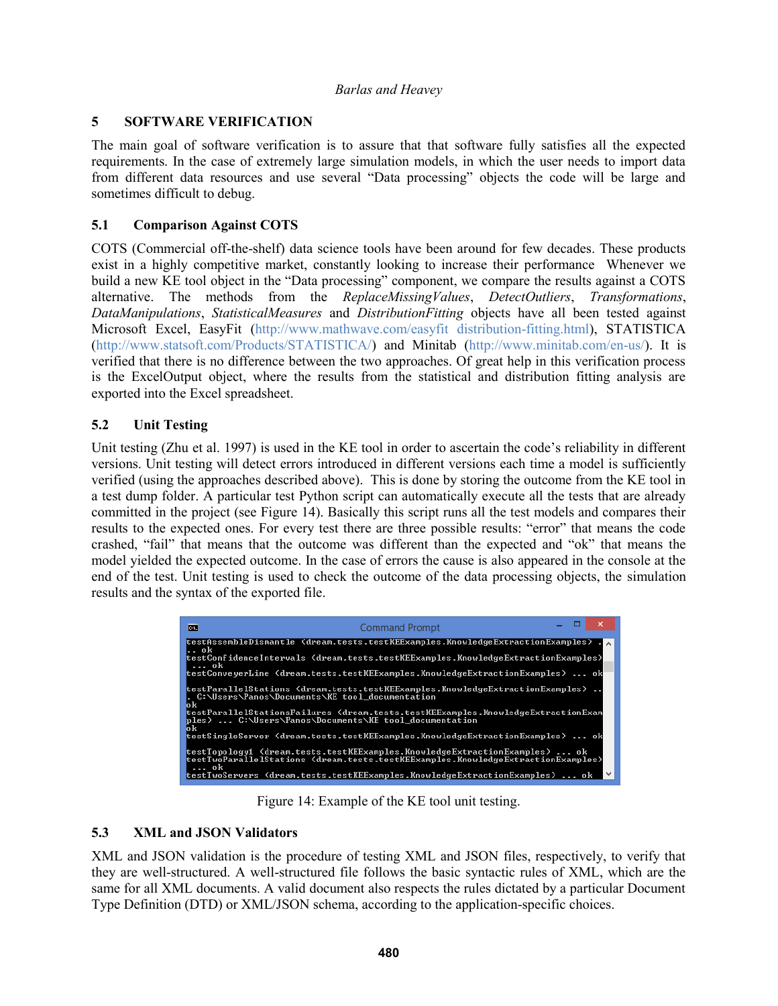# **5 SOFTWARE VERIFICATION**

The main goal of software verification is to assure that that software fully satisfies all the expected requirements. In the case of extremely large simulation models, in which the user needs to import data from different data resources and use several "Data processing" objects the code will be large and sometimes difficult to debug.

# **5.1 Comparison Against COTS**

COTS (Commercial off-the-shelf) data science tools have been around for few decades. These products exist in a highly competitive market, constantly looking to increase their performance Whenever we build a new KE tool object in the "Data processing" component, we compare the results against a COTS alternative. The methods from the *ReplaceMissingValues*, *DetectOutliers*, *Transformations*, *DataManipulations*, *StatisticalMeasures* and *DistributionFitting* objects have all been tested against Microsoft Excel, EasyFit (http://www.mathwave.com/easyfit distribution-fitting.html), STATISTICA (http://www.statsoft.com/Products/STATISTICA/) and Minitab (http://www.minitab.com/en-us/). It is verified that there is no difference between the two approaches. Of great help in this verification process is the ExcelOutput object, where the results from the statistical and distribution fitting analysis are exported into the Excel spreadsheet.

# **5.2 Unit Testing**

Unit testing (Zhu et al. 1997) is used in the KE tool in order to ascertain the code's reliability in different versions. Unit testing will detect errors introduced in different versions each time a model is sufficiently verified (using the approaches described above). This is done by storing the outcome from the KE tool in a test dump folder. A particular test Python script can automatically execute all the tests that are already committed in the project (see Figure 14). Basically this script runs all the test models and compares their results to the expected ones. For every test there are three possible results: "error" that means the code crashed, "fail" that means that the outcome was different than the expected and "ok" that means the model yielded the expected outcome. In the case of errors the cause is also appeared in the console at the end of the test. Unit testing is used to check the outcome of the data processing objects, the simulation results and the syntax of the exported file.



Figure 14: Example of the KE tool unit testing.

## **5.3 XML and JSON Validators**

XML and JSON validation is the procedure of testing XML and JSON files, respectively, to verify that they are well-structured. A well-structured file follows the basic syntactic rules of XML, which are the same for all XML documents. A valid document also respects the rules dictated by a particular Document Type Definition (DTD) or XML/JSON schema, according to the application-specific choices.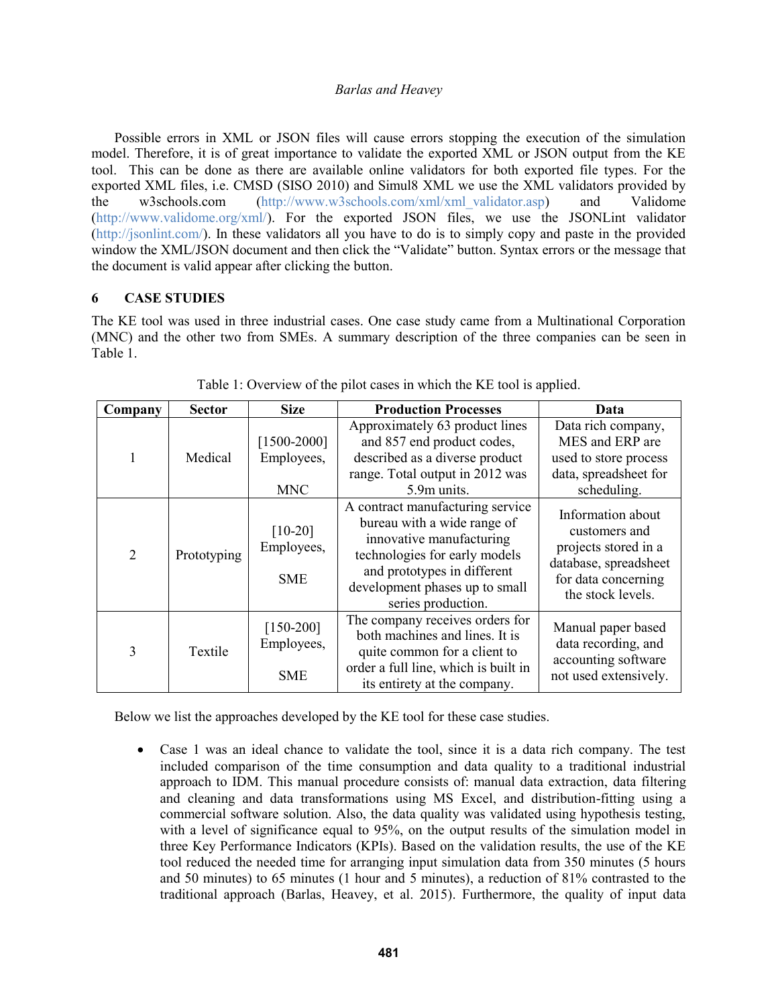Possible errors in XML or JSON files will cause errors stopping the execution of the simulation model. Therefore, it is of great importance to validate the exported XML or JSON output from the KE tool. This can be done as there are available online validators for both exported file types. For the exported XML files, i.e. CMSD (SISO 2010) and Simul8 XML we use the XML validators provided by the w3schools.com (http://www.w3schools.com/xml/xml\_validator.asp) and Validome (http://www.validome.org/xml/). For the exported JSON files, we use the JSONLint validator (http://jsonlint.com/). In these validators all you have to do is to simply copy and paste in the provided window the XML/JSON document and then click the "Validate" button. Syntax errors or the message that the document is valid appear after clicking the button.

## **6 CASE STUDIES**

The KE tool was used in three industrial cases. One case study came from a Multinational Corporation (MNC) and the other two from SMEs. A summary description of the three companies can be seen in Table 1.

| <b>Sector</b><br>Company |             | <b>Size</b>                               | <b>Production Processes</b>                                                                                                                                                                                         | Data                                                                                                                            |  |
|--------------------------|-------------|-------------------------------------------|---------------------------------------------------------------------------------------------------------------------------------------------------------------------------------------------------------------------|---------------------------------------------------------------------------------------------------------------------------------|--|
|                          | Medical     | $[1500-2000]$<br>Employees,<br><b>MNC</b> | Approximately 63 product lines<br>and 857 end product codes,<br>described as a diverse product<br>range. Total output in 2012 was<br>5.9m units.                                                                    | Data rich company,<br>MES and ERP are<br>used to store process<br>data, spreadsheet for<br>scheduling.                          |  |
| $\overline{2}$           | Prototyping | $[10-20]$<br>Employees,<br><b>SME</b>     | A contract manufacturing service<br>bureau with a wide range of<br>innovative manufacturing<br>technologies for early models<br>and prototypes in different<br>development phases up to small<br>series production. | Information about<br>customers and<br>projects stored in a<br>database, spreadsheet<br>for data concerning<br>the stock levels. |  |
| 3                        | Textile     | $[150-200]$<br>Employees,<br><b>SME</b>   | The company receives orders for<br>both machines and lines. It is<br>quite common for a client to<br>order a full line, which is built in<br>its entirety at the company.                                           | Manual paper based<br>data recording, and<br>accounting software<br>not used extensively.                                       |  |

|  | Table 1: Overview of the pilot cases in which the KE tool is applied. |  |  |
|--|-----------------------------------------------------------------------|--|--|
|  |                                                                       |  |  |

Below we list the approaches developed by the KE tool for these case studies.

 Case 1 was an ideal chance to validate the tool, since it is a data rich company. The test included comparison of the time consumption and data quality to a traditional industrial approach to IDM. This manual procedure consists of: manual data extraction, data filtering and cleaning and data transformations using MS Excel, and distribution-fitting using a commercial software solution. Also, the data quality was validated using hypothesis testing, with a level of significance equal to 95%, on the output results of the simulation model in three Key Performance Indicators (KPIs). Based on the validation results, the use of the KE tool reduced the needed time for arranging input simulation data from 350 minutes (5 hours and 50 minutes) to 65 minutes (1 hour and 5 minutes), a reduction of 81% contrasted to the traditional approach (Barlas, Heavey, et al. 2015). Furthermore, the quality of input data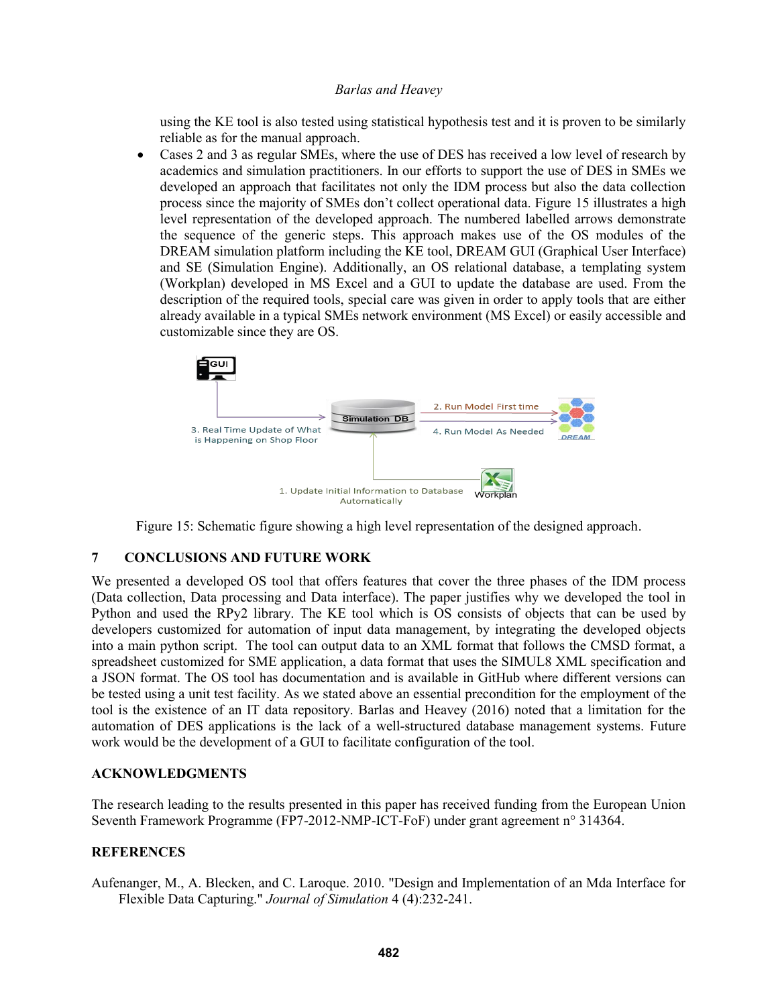using the KE tool is also tested using statistical hypothesis test and it is proven to be similarly reliable as for the manual approach.

 Cases 2 and 3 as regular SMEs, where the use of DES has received a low level of research by academics and simulation practitioners. In our efforts to support the use of DES in SMEs we developed an approach that facilitates not only the IDM process but also the data collection process since the majority of SMEs don't collect operational data. Figure 15 illustrates a high level representation of the developed approach. The numbered labelled arrows demonstrate the sequence of the generic steps. This approach makes use of the OS modules of the DREAM simulation platform including the KE tool, DREAM GUI (Graphical User Interface) and SE (Simulation Engine). Additionally, an OS relational database, a templating system (Workplan) developed in MS Excel and a GUI to update the database are used. From the description of the required tools, special care was given in order to apply tools that are either already available in a typical SMEs network environment (MS Excel) or easily accessible and customizable since they are OS.





## **7 CONCLUSIONS AND FUTURE WORK**

We presented a developed OS tool that offers features that cover the three phases of the IDM process (Data collection, Data processing and Data interface). The paper justifies why we developed the tool in Python and used the RPy2 library. The KE tool which is OS consists of objects that can be used by developers customized for automation of input data management, by integrating the developed objects into a main python script. The tool can output data to an XML format that follows the CMSD format, a spreadsheet customized for SME application, a data format that uses the SIMUL8 XML specification and a JSON format. The OS tool has documentation and is available in GitHub where different versions can be tested using a unit test facility. As we stated above an essential precondition for the employment of the tool is the existence of an IT data repository. Barlas and Heavey (2016) noted that a limitation for the automation of DES applications is the lack of a well-structured database management systems. Future work would be the development of a GUI to facilitate configuration of the tool.

## **ACKNOWLEDGMENTS**

The research leading to the results presented in this paper has received funding from the European Union Seventh Framework Programme (FP7-2012-NMP-ICT-FoF) under grant agreement n° 314364.

# **REFERENCES**

Aufenanger, M., A. Blecken, and C. Laroque. 2010. "Design and Implementation of an Mda Interface for Flexible Data Capturing." *Journal of Simulation* 4 (4):232-241.